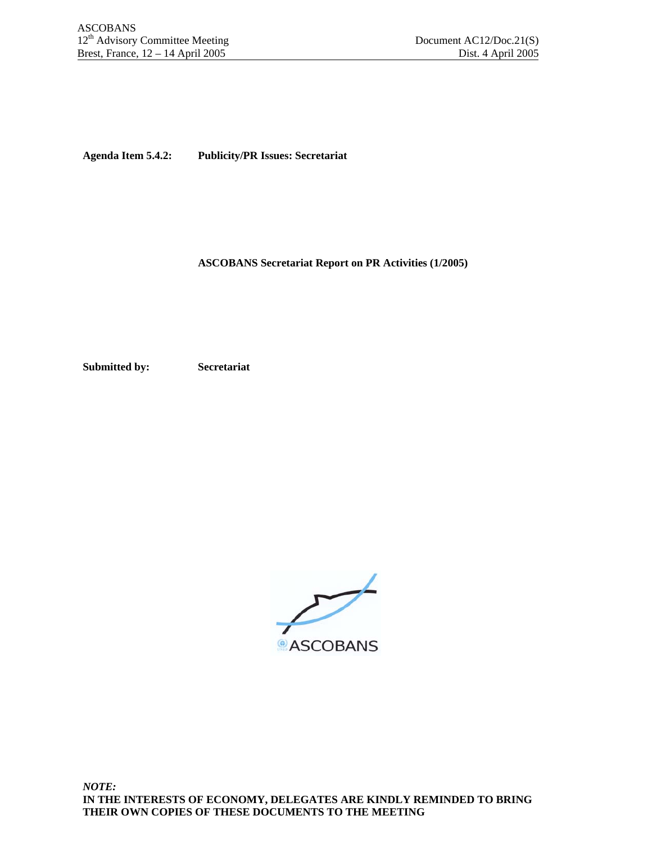**Agenda Item 5.4.2: Publicity/PR Issues: Secretariat** 

 **ASCOBANS Secretariat Report on PR Activities (1/2005)** 

**Submitted by: Secretariat** 

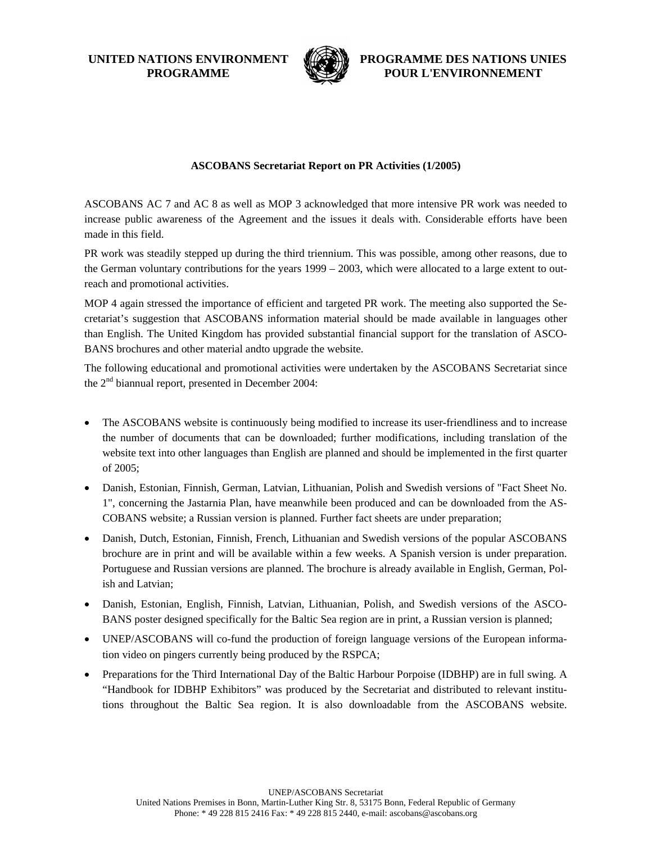**UNITED NATIONS ENVIRONMENT PROGRAMME**



**PROGRAMME DES NATIONS UNIES POUR L'ENVIRONNEMENT**

## **ASCOBANS Secretariat Report on PR Activities (1/2005)**

ASCOBANS AC 7 and AC 8 as well as MOP 3 acknowledged that more intensive PR work was needed to increase public awareness of the Agreement and the issues it deals with. Considerable efforts have been made in this field.

PR work was steadily stepped up during the third triennium. This was possible, among other reasons, due to the German voluntary contributions for the years 1999 – 2003, which were allocated to a large extent to outreach and promotional activities.

MOP 4 again stressed the importance of efficient and targeted PR work. The meeting also supported the Secretariat's suggestion that ASCOBANS information material should be made available in languages other than English. The United Kingdom has provided substantial financial support for the translation of ASCO-BANS brochures and other material andto upgrade the website.

The following educational and promotional activities were undertaken by the ASCOBANS Secretariat since the 2nd biannual report, presented in December 2004:

- The ASCOBANS website is continuously being modified to increase its user-friendliness and to increase the number of documents that can be downloaded; further modifications, including translation of the website text into other languages than English are planned and should be implemented in the first quarter of 2005;
- Danish, Estonian, Finnish, German, Latvian, Lithuanian, Polish and Swedish versions of "Fact Sheet No. 1", concerning the Jastarnia Plan, have meanwhile been produced and can be downloaded from the AS-COBANS website; a Russian version is planned. Further fact sheets are under preparation;
- Danish, Dutch, Estonian, Finnish, French, Lithuanian and Swedish versions of the popular ASCOBANS brochure are in print and will be available within a few weeks. A Spanish version is under preparation. Portuguese and Russian versions are planned. The brochure is already available in English, German, Polish and Latvian;
- Danish, Estonian, English, Finnish, Latvian, Lithuanian, Polish, and Swedish versions of the ASCO-BANS poster designed specifically for the Baltic Sea region are in print, a Russian version is planned;
- UNEP/ASCOBANS will co-fund the production of foreign language versions of the European information video on pingers currently being produced by the RSPCA;
- Preparations for the Third International Day of the Baltic Harbour Porpoise (IDBHP) are in full swing. A "Handbook for IDBHP Exhibitors" was produced by the Secretariat and distributed to relevant institutions throughout the Baltic Sea region. It is also downloadable from the ASCOBANS website.